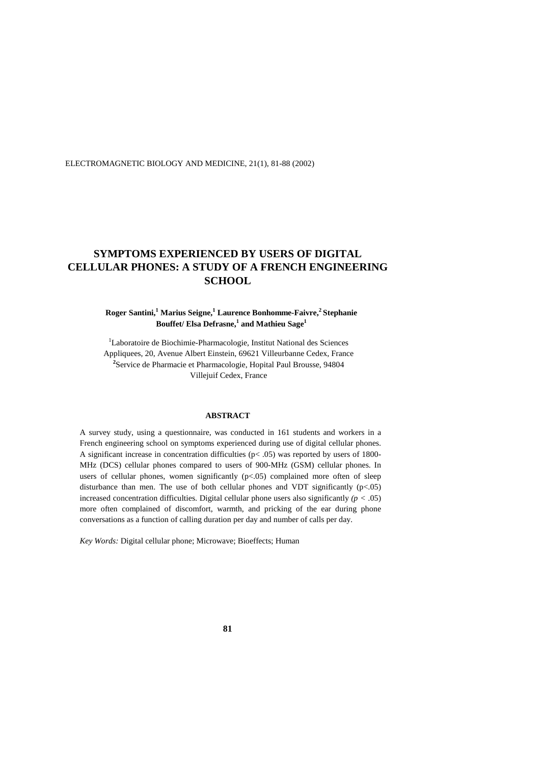ELECTROMAGNETIC BIOLOGY AND MEDICINE, 21(1), 81-88 (2002)

# **SYMPTOMS EXPERIENCED BY USERS OF DIGITAL CELLULAR PHONES: A STUDY OF A FRENCH ENGINEERING SCHOOL**

# **Roger Santini,<sup>1</sup> Marius Seigne,<sup>1</sup> Laurence Bonhomme-Faivre,<sup>2</sup>Stephanie Bouffet/ Elsa Defrasne,<sup>1</sup> and Mathieu Sage<sup>1</sup>**

<sup>1</sup>Laboratoire de Biochimie-Pharmacologie, Institut National des Sciences Appliquees, 20, Avenue Albert Einstein, 69621 Villeurbanne Cedex, France **2** Service de Pharmacie et Pharmacologie, Hopital Paul Brousse, 94804 Villejuif Cedex, France

# **ABSTRACT**

A survey study, using a questionnaire, was conducted in 161 students and workers in a French engineering school on symptoms experienced during use of digital cellular phones. A significant increase in concentration difficulties  $(p< .05)$  was reported by users of 1800-MHz (DCS) cellular phones compared to users of 900-MHz (GSM) cellular phones. In users of cellular phones, women significantly  $(p<.05)$  complained more often of sleep disturbance than men. The use of both cellular phones and VDT significantly  $(p<.05)$ increased concentration difficulties. Digital cellular phone users also significantly *(p <* .05) more often complained of discomfort, warmth, and pricking of the ear during phone conversations as a function of calling duration per day and number of calls per day.

*Key Words:* Digital cellular phone; Microwave; Bioeffects; Human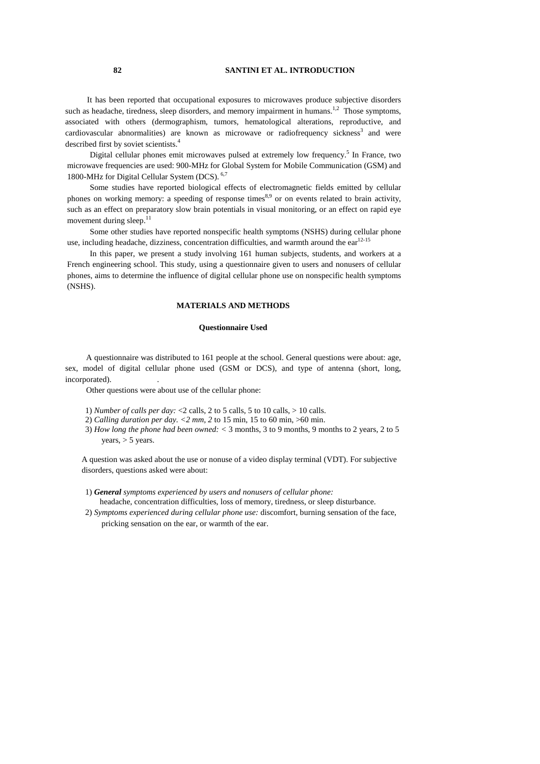## **82 SANTINI ET AL. INTRODUCTION**

It has been reported that occupational exposures to microwaves produce subjective disorders such as headache, tiredness, sleep disorders, and memory impairment in humans.<sup>1,2</sup> Those symptoms, associated with others (dermographism, tumors, hematological alterations, reproductive, and cardiovascular abnormalities) are known as microwave or radiofrequency sickness<sup>3</sup> and were described first by soviet scientists.<sup>4</sup>

Digital cellular phones emit microwaves pulsed at extremely low frequency.<sup>5</sup> In France, two microwave frequencies are used: 900-MHz for Global System for Mobile Communication (GSM) and 1800-MHz for Digital Cellular System (DCS). 6,7

Some studies have reported biological effects of electromagnetic fields emitted by cellular phones on working memory: a speeding of response times<sup>8,9</sup> or on events related to brain activity, such as an effect on preparatory slow brain potentials in visual monitoring, or an effect on rapid eye movement during sleep. $^{11}$ 

Some other studies have reported nonspecific health symptoms (NSHS) during cellular phone use, including headache, dizziness, concentration difficulties, and warmth around the  $ear^{12-15}$ 

In this paper, we present a study involving 161 human subjects, students, and workers at a French engineering school. This study, using a questionnaire given to users and nonusers of cellular phones, aims to determine the influence of digital cellular phone use on nonspecific health symptoms (NSHS).

## **MATERIALS AND METHODS**

#### **Questionnaire Used**

A questionnaire was distributed to 161 people at the school. General questions were about: age, sex, model of digital cellular phone used (GSM or DCS), and type of antenna (short, long, incorporated).

Other questions were about use of the cellular phone:

- 1) *Number of calls per day:* <2 calls, 2 to 5 calls, 5 to 10 calls, > 10 calls.
- 2) *Calling duration per day. <2 mm, 2* to 15 min, 15 to 60 min, >60 min.
- 3) *How long the phone had been owned: <* 3 months, 3 to 9 months, 9 months to 2 years, 2 to 5 years,  $> 5$  years.

A question was asked about the use or nonuse of a video display terminal (VDT). For subjective disorders, questions asked were about:

- 1) *General symptoms experienced by users and nonusers of cellular phone:* headache, concentration difficulties, loss of memory, tiredness, or sleep disturbance.
- 2) *Symptoms experienced during cellular phone use:* discomfort, burning sensation of the face, pricking sensation on the ear, or warmth of the ear.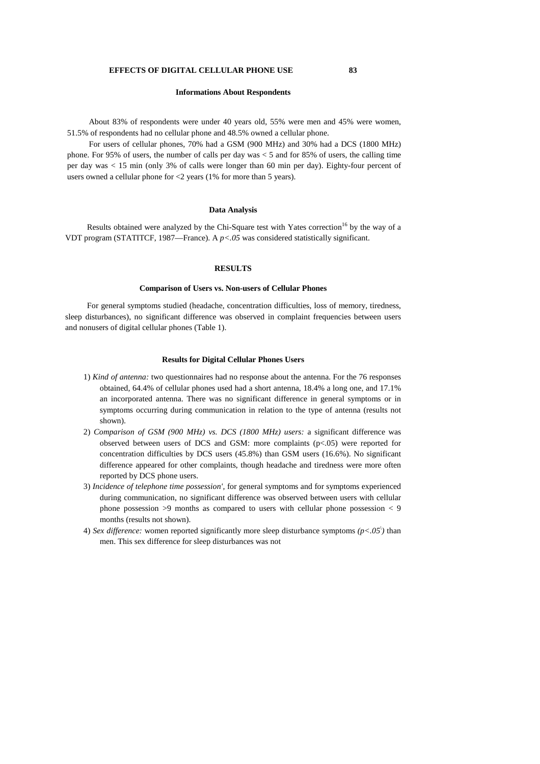#### **Informations About Respondents**

About 83% of respondents were under 40 years old, 55% were men and 45% were women, 51.5% of respondents had no cellular phone and 48.5% owned a cellular phone.

For users of cellular phones, 70% had a GSM (900 MHz) and 30% had a DCS (1800 MHz) phone. For 95% of users, the number of calls per day was  $<$  5 and for 85% of users, the calling time per day was < 15 min (only 3% of calls were longer than 60 min per day). Eighty-four percent of users owned a cellular phone for <2 years (1% for more than 5 years).

### **Data Analysis**

Results obtained were analyzed by the Chi-Square test with Yates correction<sup>16</sup> by the way of a VDT program (STATITCF, 1987—France). A *p<.05* was considered statistically significant.

## **RESULTS**

## **Comparison of Users vs. Non-users of Cellular Phones**

For general symptoms studied (headache, concentration difficulties, loss of memory, tiredness, sleep disturbances), no significant difference was observed in complaint frequencies between users and nonusers of digital cellular phones (Table 1).

### **Results for Digital Cellular Phones Users**

- 1) *Kind of antenna:* two questionnaires had no response about the antenna. For the 76 responses obtained, 64.4% of cellular phones used had a short antenna, 18.4% a long one, and 17.1% an incorporated antenna. There was no significant difference in general symptoms or in symptoms occurring during communication in relation to the type of antenna (results not shown).
- 2) *Comparison of GSM (900 MHz) vs. DCS (1800 MHz) users:* a significant difference was observed between users of DCS and GSM: more complaints (p<.05) were reported for concentration difficulties by DCS users (45.8%) than GSM users (16.6%). No significant difference appeared for other complaints, though headache and tiredness were more often reported by DCS phone users.
- 3) *Incidence of telephone time possession',* for general symptoms and for symptoms experienced during communication, no significant difference was observed between users with cellular phone possession  $>9$  months as compared to users with cellular phone possession  $< 9$ months (results not shown).
- 4) *Sex difference:* women reported significantly more sleep disturbance symptoms  $(p < .05)$  than men. This sex difference for sleep disturbances was not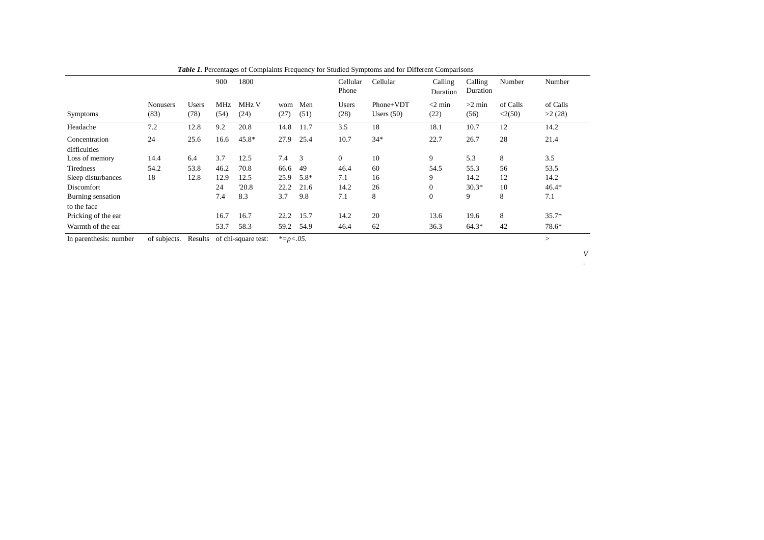|                                  |                         |               | 900         | 1800          |             |             | Cellular<br>Phone | Cellular                  | Calling<br>Duration | Calling<br>Duration | Number             | Number             |
|----------------------------------|-------------------------|---------------|-------------|---------------|-------------|-------------|-------------------|---------------------------|---------------------|---------------------|--------------------|--------------------|
| Symptoms                         | <b>Nonusers</b><br>(83) | Users<br>(78) | MHz<br>(54) | MHz V<br>(24) | wom<br>(27) | Men<br>(51) | Users<br>(28)     | Phone+VDT<br>Users $(50)$ | $<$ 2 min<br>(22)   | $>2$ min<br>(56)    | of Calls<br><2(50) | of Calls<br>>2(28) |
| Headache                         | 7.2                     | 12.8          | 9.2         | 20.8          | 14.8        | 11.7        | 3.5               | 18                        | 18.1                | 10.7                | 12                 | 14.2               |
| Concentration<br>difficulties    | 24                      | 25.6          | 16.6        | $45.8*$       | 27.9        | 25.4        | 10.7              | $34*$                     | 22.7                | 26.7                | 28                 | 21.4               |
| Loss of memory                   | 14.4                    | 6.4           | 3.7         | 12.5          | 7.4         | 3           | $\mathbf{0}$      | 10                        | 9                   | 5.3                 | 8                  | 3.5                |
| Tiredness                        | 54.2                    | 53.8          | 46.2        | 70.8          | 66.6        | 49          | 46.4              | 60                        | 54.5                | 55.3                | 56                 | 53.5               |
| Sleep disturbances               | 18                      | 12.8          | 12.9        | 12.5          | 25.9        | $5.8*$      | 7.1               | 16                        | 9                   | 14.2                | 12                 | 14.2               |
| Discomfort                       |                         |               | 24          | '20.8         | 22.2        | 21.6        | 14.2              | 26                        | $\overline{0}$      | $30.3*$             | 10                 | $46.4*$            |
| Burning sensation<br>to the face |                         |               | 7.4         | 8.3           | 3.7         | 9.8         | 7.1               | 8                         | $\mathbf{0}$        | 9                   | 8                  | 7.1                |
| Pricking of the ear              |                         |               | 16.7        | 16.7          | 22.2        | 15.7        | 14.2              | 20                        | 13.6                | 19.6                | 8                  | $35.7*$            |
| Warmth of the ear                |                         |               | 53.7        | 58.3          | 59.2        | 54.9        | 46.4              | 62                        | 36.3                | $64.3*$             | 42                 | 78.6*              |

| <b>Table 1.</b> Percentages of Complaints Frequency for Studied Symptoms and for Different Comparisons |  |  |
|--------------------------------------------------------------------------------------------------------|--|--|
|                                                                                                        |  |  |

In parenthesis: number of subjects. Results of chi-square test: *\*=p<.05.* <sup>&</sup>gt;

*V .*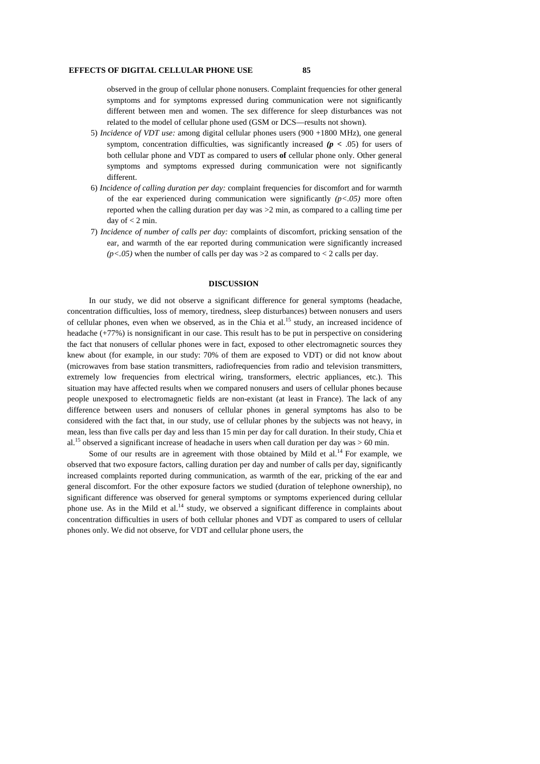### **EFFECTS OF DIGITAL CELLULAR PHONE USE 85**

observed in the group of cellular phone nonusers. Complaint frequencies for other general symptoms and for symptoms expressed during communication were not significantly different between men and women. The sex difference for sleep disturbances was not related to the model of cellular phone used (GSM or DCS—results not shown).

- 5) *Incidence of VDT use:* among digital cellular phones users (900 +1800 MHz), one general symptom, concentration difficulties, was significantly increased *(p <* .05) for users of both cellular phone and VDT as compared to users **of** cellular phone only. Other general symptoms and symptoms expressed during communication were not significantly different.
- 6) *Incidence of calling duration per day:* complaint frequencies for discomfort and for warmth of the ear experienced during communication were significantly *(p<.05)* more often reported when the calling duration per day was >2 min, as compared to a calling time per day of  $<$  2 min.
- 7) *Incidence of number of calls per day:* complaints of discomfort, pricking sensation of the ear, and warmth of the ear reported during communication were significantly increased  $(p<.05)$  when the number of calls per day was  $>2$  as compared to  $< 2$  calls per day.

# **DISCUSSION**

In our study, we did not observe a significant difference for general symptoms (headache, concentration difficulties, loss of memory, tiredness, sleep disturbances) between nonusers and users of cellular phones, even when we observed, as in the Chia et al.<sup>15</sup> study, an increased incidence of headache (+77%) is nonsignificant in our case. This result has to be put in perspective on considering the fact that nonusers of cellular phones were in fact, exposed to other electromagnetic sources they knew about (for example, in our study: 70% of them are exposed to VDT) or did not know about (microwaves from base station transmitters, radiofrequencies from radio and television transmitters, extremely low frequencies from electrical wiring, transformers, electric appliances, etc.). This situation may have affected results when we compared nonusers and users of cellular phones because people unexposed to electromagnetic fields are non-existant (at least in France). The lack of any difference between users and nonusers of cellular phones in general symptoms has also to be considered with the fact that, in our study, use of cellular phones by the subjects was not heavy, in mean, less than five calls per day and less than 15 min per day for call duration. In their study, Chia et al.<sup>15</sup> observed a significant increase of headache in users when call duration per day was  $> 60$  min.

Some of our results are in agreement with those obtained by Mild et al.<sup>14</sup> For example, we observed that two exposure factors, calling duration per day and number of calls per day, significantly increased complaints reported during communication, as warmth of the ear, pricking of the ear and general discomfort. For the other exposure factors we studied (duration of telephone ownership), no significant difference was observed for general symptoms or symptoms experienced during cellular phone use. As in the Mild et al.<sup>14</sup> study, we observed a significant difference in complaints about concentration difficulties in users of both cellular phones and VDT as compared to users of cellular phones only. We did not observe, for VDT and cellular phone users, the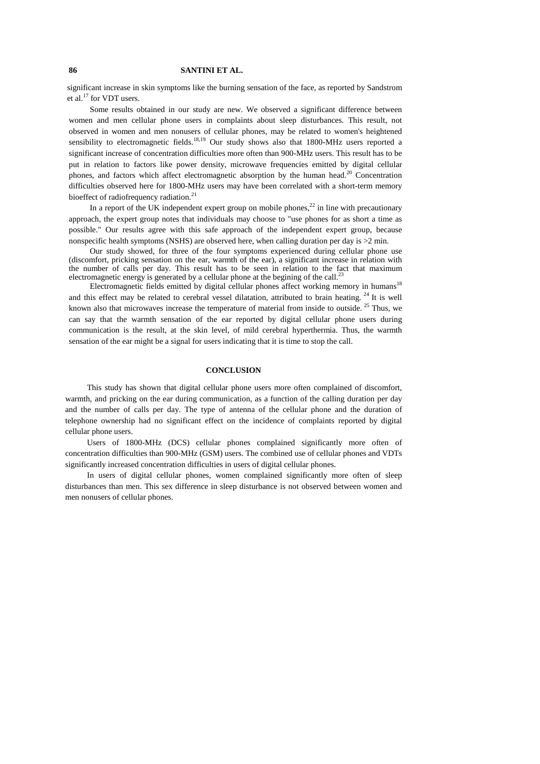# **86 SANTINI ET AL.**

significant increase in skin symptoms like the burning sensation of the face, as reported by Sandstrom et al. $^{17}$  for VDT users.

Some results obtained in our study are new. We observed a significant difference between women and men cellular phone users in complaints about sleep disturbances. This result, not observed in women and men nonusers of cellular phones, may be related to women's heightened sensibility to electromagnetic fields.<sup>18,19</sup> Our study shows also that 1800-MHz users reported a significant increase of concentration difficulties more often than 900-MHz users. This result has to be put in relation to factors like power density, microwave frequencies emitted by digital cellular phones, and factors which affect electromagnetic absorption by the human head.<sup>20</sup> Concentration difficulties observed here for 1800-MHz users may have been correlated with a short-term memory bioeffect of radiofrequency radiation.<sup>21</sup>

In a report of the UK independent expert group on mobile phones,<sup>22</sup> in line with precautionary approach, the expert group notes that individuals may choose to "use phones for as short a time as possible." Our results agree with this safe approach of the independent expert group, because nonspecific health symptoms (NSHS) are observed here, when calling duration per day is >2 min.

Our study showed, for three of the four symptoms experienced during cellular phone use (discomfort, pricking sensation on the ear, warmth of the ear), a significant increase in relation with the number of calls per day. This result has to be seen in relation to the fact that maximum electromagnetic energy is generated by a cellular phone at the begining of the call.<sup>2</sup>

Electromagnetic fields emitted by digital cellular phones affect working memory in humans<sup>18</sup> and this effect may be related to cerebral vessel dilatation, attributed to brain heating.<sup>24</sup> It is well known also that microwaves increase the temperature of material from inside to outside.<sup>25</sup> Thus, we can say that the warmth sensation of the ear reported by digital cellular phone users during communication is the result, at the skin level, of mild cerebral hyperthermia. Thus, the warmth sensation of the ear might be a signal for users indicating that it is time to stop the call.

## **CONCLUSION**

This study has shown that digital cellular phone users more often complained of discomfort, warmth, and pricking on the ear during communication, as a function of the calling duration per day and the number of calls per day. The type of antenna of the cellular phone and the duration of telephone ownership had no significant effect on the incidence of complaints reported by digital cellular phone users.

Users of 1800-MHz (DCS) cellular phones complained significantly more often of concentration difficulties than 900-MHz (GSM) users. The combined use of cellular phones and VDTs significantly increased concentration difficulties in users of digital cellular phones.

In users of digital cellular phones, women complained significantly more often of sleep disturbances than men. This sex difference in sleep disturbance is not observed between women and men nonusers of cellular phones.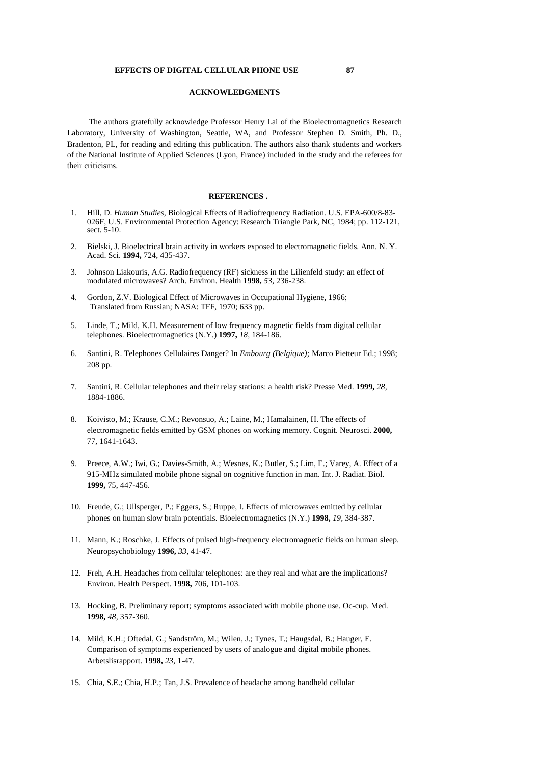# **ACKNOWLEDGMENTS**

The authors gratefully acknowledge Professor Henry Lai of the Bioelectromagnetics Research Laboratory, University of Washington, Seattle, WA, and Professor Stephen D. Smith, Ph. D., Bradenton, PL, for reading and editing this publication. The authors also thank students and workers of the National Institute of Applied Sciences (Lyon, France) included in the study and the referees for their criticisms.

## **REFERENCES .**

- 1. Hill, D. *Human Studies,* Biological Effects of Radiofrequency Radiation. U.S. EPA-600/8-83- 026F, U.S. Environmental Protection Agency: Research Triangle Park, NC, 1984; pp. 112-121, sect. 5-10.
- 2. Bielski, J. Bioelectrical brain activity in workers exposed to electromagnetic fields. Ann. N. Y. Acad. Sci. **1994,** 724, 435-437.
- 3. Johnson Liakouris, A.G. Radiofrequency (RF) sickness in the Lilienfeld study: an effect of modulated microwaves? Arch. Environ. Health **1998,** *53,* 236-238.
- 4. Gordon, Z.V. Biological Effect of Microwaves in Occupational Hygiene, 1966; Translated from Russian; NASA: TFF, 1970; 633 pp.
- 5. Linde, T.; Mild, K.H. Measurement of low frequency magnetic fields from digital cellular telephones. Bioelectromagnetics (N.Y.) **1997,** *18,* 184-186.
- 6. Santini, R. Telephones Cellulaires Danger? In *Embourg (Belgique);* Marco Pietteur Ed.; 1998; 208 pp.
- 7. Santini, R. Cellular telephones and their relay stations: a health risk? Presse Med. **1999,** *28,* 1884-1886.
- 8. Koivisto, M.; Krause, C.M.; Revonsuo, A.; Laine, M.; Hamalainen, H. The effects of electromagnetic fields emitted by GSM phones on working memory. Cognit. Neurosci. **2000,** 77, 1641-1643.
- 9. Preece, A.W.; Iwi, G.; Davies-Smith, A.; Wesnes, K.; Butler, S.; Lim, E.; Varey, A. Effect of a 915-MHz simulated mobile phone signal on cognitive function in man. Int. J. Radiat. Biol. **1999,** 75, 447-456.
- 10. Freude, G.; Ullsperger, P.; Eggers, S.; Ruppe, I. Effects of microwaves emitted by cellular phones on human slow brain potentials. Bioelectromagnetics (N.Y.) **1998,** *19,* 384-387.
- 11. Mann, K.; Roschke, J. Effects of pulsed high-frequency electromagnetic fields on human sleep. Neuropsychobiology **1996,** *33,* 41-47.
- 12. Freh, A.H. Headaches from cellular telephones: are they real and what are the implications? Environ. Health Perspect. **1998,** 706, 101-103.
- 13. Hocking, B. Preliminary report; symptoms associated with mobile phone use. Oc-cup. Med. **1998,** *48,* 357-360.
- 14. Mild, K.H.; Oftedal, G.; Sandström, M.; Wilen, J.; Tynes, T.; Haugsdal, B.; Hauger, E. Comparison of symptoms experienced by users of analogue and digital mobile phones. Arbetslisrapport. **1998,** *23,* 1-47.
- 15. Chia, S.E.; Chia, H.P.; Tan, J.S. Prevalence of headache among handheld cellular